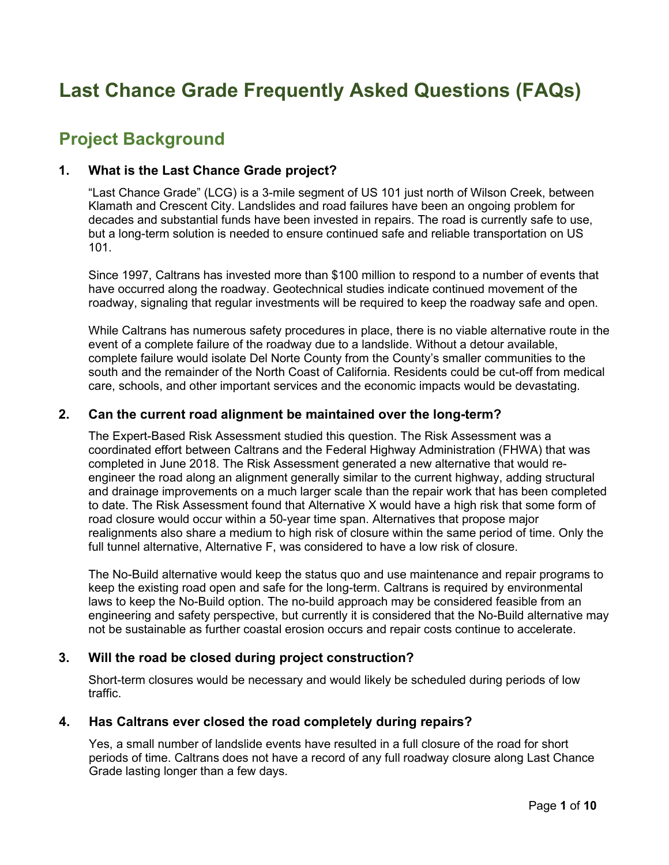# **Last Chance Grade Frequently Asked Questions (FAQs)**

# **Project Background**

#### **1. What is the Last Chance Grade project?**

"Last Chance Grade" (LCG) is a 3-mile segment of US 101 just north of Wilson Creek, between Klamath and Crescent City. Landslides and road failures have been an ongoing problem for decades and substantial funds have been invested in repairs. The road is currently safe to use, but a long-term solution is needed to ensure continued safe and reliable transportation on US 101.

Since 1997, Caltrans has invested more than \$100 million to respond to a number of events that have occurred along the roadway. Geotechnical studies indicate continued movement of the roadway, signaling that regular investments will be required to keep the roadway safe and open.

While Caltrans has numerous safety procedures in place, there is no viable alternative route in the event of a complete failure of the roadway due to a landslide. Without a detour available, complete failure would isolate Del Norte County from the County's smaller communities to the south and the remainder of the North Coast of California. Residents could be cut-off from medical care, schools, and other important services and the economic impacts would be devastating.

#### **2. Can the current road alignment be maintained over the long-term?**

The Expert-Based Risk Assessment studied this question. The Risk Assessment was a coordinated effort between Caltrans and the Federal Highway Administration (FHWA) that was completed in June 2018. The Risk Assessment generated a new alternative that would reengineer the road along an alignment generally similar to the current highway, adding structural and drainage improvements on a much larger scale than the repair work that has been completed to date. The Risk Assessment found that Alternative X would have a high risk that some form of road closure would occur within a 50-year time span. Alternatives that propose major realignments also share a medium to high risk of closure within the same period of time. Only the full tunnel alternative, Alternative F, was considered to have a low risk of closure.

The No-Build alternative would keep the status quo and use maintenance and repair programs to keep the existing road open and safe for the long-term. Caltrans is required by environmental laws to keep the No-Build option. The no-build approach may be considered feasible from an engineering and safety perspective, but currently it is considered that the No-Build alternative may not be sustainable as further coastal erosion occurs and repair costs continue to accelerate.

# **3. Will the road be closed during project construction?**

Short-term closures would be necessary and would likely be scheduled during periods of low traffic.

#### **4. Has Caltrans ever closed the road completely during repairs?**

Yes, a small number of landslide events have resulted in a full closure of the road for short periods of time. Caltrans does not have a record of any full roadway closure along Last Chance Grade lasting longer than a few days.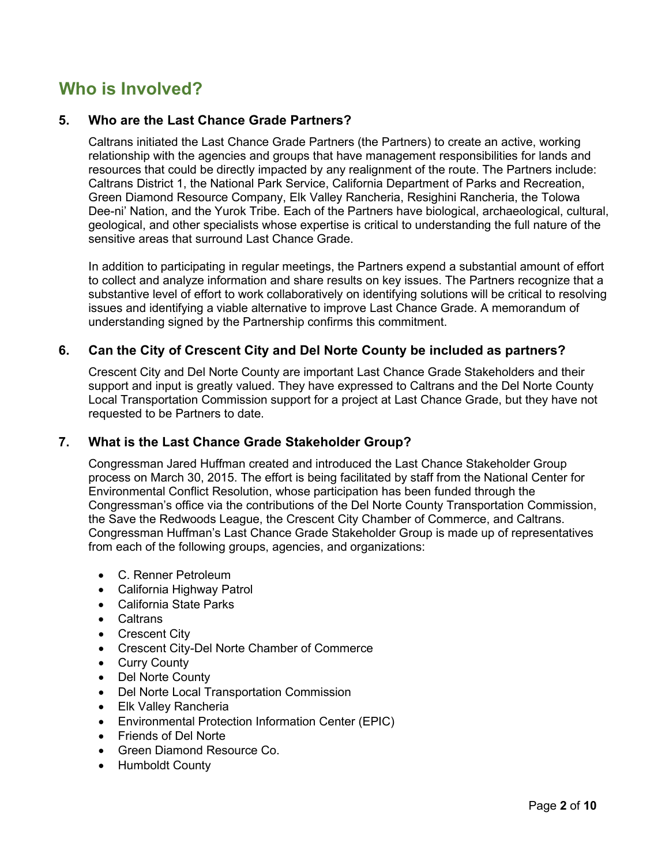# **Who is Involved?**

### **5. Who are the Last Chance Grade Partners?**

Caltrans initiated the Last Chance Grade Partners (the Partners) to create an active, working relationship with the agencies and groups that have management responsibilities for lands and resources that could be directly impacted by any realignment of the route. The Partners include: Caltrans District 1, the National Park Service, California Department of Parks and Recreation, Green Diamond Resource Company, Elk Valley Rancheria, Resighini Rancheria, the Tolowa Dee-ni' Nation, and the Yurok Tribe. Each of the Partners have biological, archaeological, cultural, geological, and other specialists whose expertise is critical to understanding the full nature of the sensitive areas that surround Last Chance Grade.

In addition to participating in regular meetings, the Partners expend a substantial amount of effort to collect and analyze information and share results on key issues. The Partners recognize that a substantive level of effort to work collaboratively on identifying solutions will be critical to resolving issues and identifying a viable alternative to improve Last Chance Grade. A memorandum of understanding signed by the Partnership confirms this commitment.

#### **6. Can the City of Crescent City and Del Norte County be included as partners?**

Crescent City and Del Norte County are important Last Chance Grade Stakeholders and their support and input is greatly valued. They have expressed to Caltrans and the Del Norte County Local Transportation Commission support for a project at Last Chance Grade, but they have not requested to be Partners to date.

#### **7. What is the Last Chance Grade Stakeholder Group?**

Congressman Jared Huffman created and introduced the Last Chance Stakeholder Group process on March 30, 2015. The effort is being facilitated by staff from the National Center for Environmental Conflict Resolution, whose participation has been funded through the Congressman's office via the contributions of the Del Norte County Transportation Commission, the Save the Redwoods League, the Crescent City Chamber of Commerce, and Caltrans. Congressman Huffman's Last Chance Grade Stakeholder Group is made up of representatives from each of the following groups, agencies, and organizations:

- C. Renner Petroleum
- California Highway Patrol
- California State Parks
- Caltrans
- Crescent City
- Crescent City-Del Norte Chamber of Commerce
- Curry County
- Del Norte County
- Del Norte Local Transportation Commission
- Elk Valley Rancheria
- Environmental Protection Information Center (EPIC)
- Friends of Del Norte
- Green Diamond Resource Co.
- Humboldt County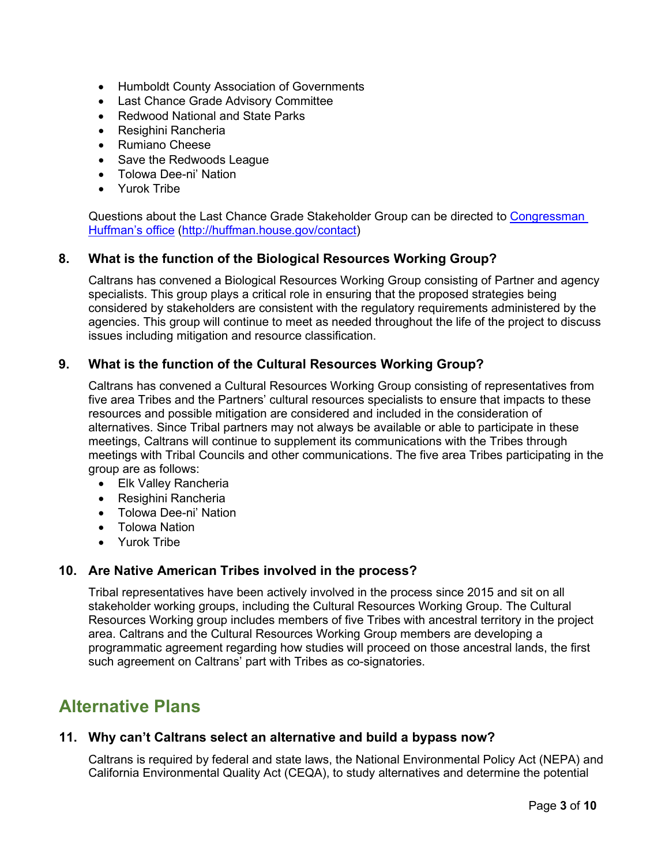- Humboldt County Association of Governments
- Last Chance Grade Advisory Committee
- Redwood National and State Parks
- Resighini Rancheria
- Rumiano Cheese
- Save the Redwoods League
- Tolowa Dee-ni' Nation
- Yurok Tribe

Questions about the Last Chance Grade Stakeholder Group can be directed to [Congressman](http://huffman.house.gov/contact)  [Huffman's office \(http://huffman.house.gov/contact\)](http://huffman.house.gov/contact)

#### **8. What is the function of the Biological Resources Working Group?**

Caltrans has convened a Biological Resources Working Group consisting of Partner and agency specialists. This group plays a critical role in ensuring that the proposed strategies being considered by stakeholders are consistent with the regulatory requirements administered by the agencies. This group will continue to meet as needed throughout the life of the project to discuss issues including mitigation and resource classification.

#### **9. What is the function of the Cultural Resources Working Group?**

Caltrans has convened a Cultural Resources Working Group consisting of representatives from five area Tribes and the Partners' cultural resources specialists to ensure that impacts to these resources and possible mitigation are considered and included in the consideration of alternatives. Since Tribal partners may not always be available or able to participate in these meetings, Caltrans will continue to supplement its communications with the Tribes through meetings with Tribal Councils and other communications. The five area Tribes participating in the group are as follows:

- Elk Valley Rancheria
- Resighini Rancheria
- Tolowa Dee-ni' Nation
- Tolowa Nation
- Yurok Tribe

#### **10. Are Native American Tribes involved in the process?**

Tribal representatives have been actively involved in the process since 2015 and sit on all stakeholder working groups, including the Cultural Resources Working Group. The Cultural Resources Working group includes members of five Tribes with ancestral territory in the project area. Caltrans and the Cultural Resources Working Group members are developing a programmatic agreement regarding how studies will proceed on those ancestral lands, the first such agreement on Caltrans' part with Tribes as co-signatories.

# **Alternative Plans**

#### **11. Why can't Caltrans select an alternative and build a bypass now?**

Caltrans is required by federal and state laws, the National Environmental Policy Act (NEPA) and California Environmental Quality Act (CEQA), to study alternatives and determine the potential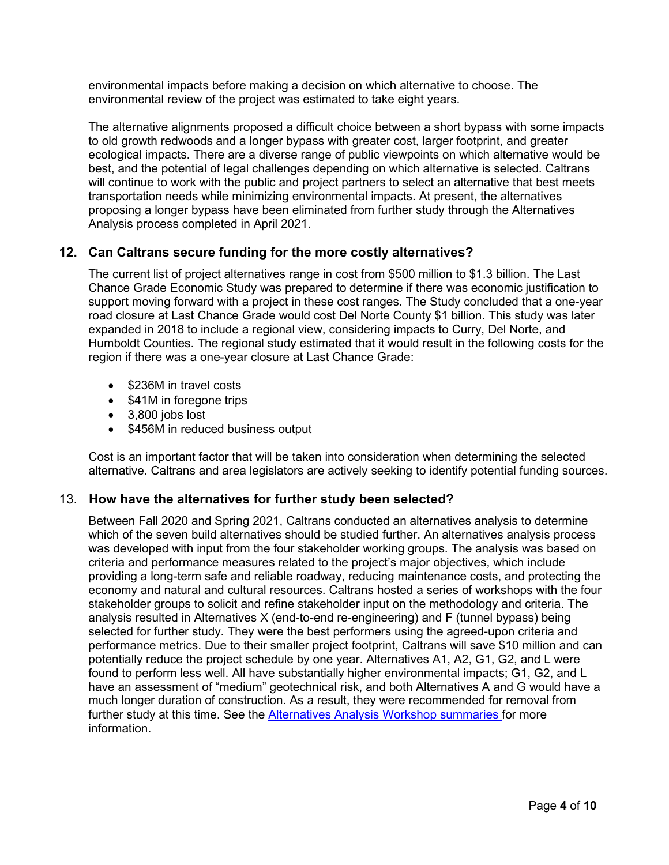environmental impacts before making a decision on which alternative to choose. The environmental review of the project was estimated to take eight years.

The alternative alignments proposed a difficult choice between a short bypass with some impacts to old growth redwoods and a longer bypass with greater cost, larger footprint, and greater ecological impacts. There are a diverse range of public viewpoints on which alternative would be best, and the potential of legal challenges depending on which alternative is selected. Caltrans will continue to work with the public and project partners to select an alternative that best meets transportation needs while minimizing environmental impacts. At present, the alternatives proposing a longer bypass have been eliminated from further study through the Alternatives Analysis process completed in April 2021.

# **12. Can Caltrans secure funding for the more costly alternatives?**

The current list of project alternatives range in cost from \$500 million to \$1.3 billion. The Last Chance Grade Economic Study was prepared to determine if there was economic justification to support moving forward with a project in these cost ranges. The Study concluded that a one-year road closure at Last Chance Grade would cost Del Norte County \$1 billion. This study was later expanded in 2018 to include a regional view, considering impacts to Curry, Del Norte, and Humboldt Counties. The regional study estimated that it would result in the following costs for the region if there was a one-year closure at Last Chance Grade:

- \$236M in travel costs
- \$41M in foregone trips
- 3,800 jobs lost
- \$456M in reduced business output

Cost is an important factor that will be taken into consideration when determining the selected alternative. Caltrans and area legislators are actively seeking to identify potential funding sources.

#### 13. **How have the alternatives for further study been selected?**

Between Fall 2020 and Spring 2021, Caltrans conducted an alternatives analysis to determine which of the seven build alternatives should be studied further. An alternatives analysis process was developed with input from the four stakeholder working groups. The analysis was based on criteria and performance measures related to the project's major objectives, which include providing a long-term safe and reliable roadway, reducing maintenance costs, and protecting the economy and natural and cultural resources. Caltrans hosted a series of workshops with the four stakeholder groups to solicit and refine stakeholder input on the methodology and criteria. The analysis resulted in Alternatives X (end-to-end re-engineering) and F (tunnel bypass) being selected for further study. They were the best performers using the agreed-upon criteria and performance metrics. Due to their smaller project footprint, Caltrans will save \$10 million and can potentially reduce the project schedule by one year. Alternatives A1, A2, G1, G2, and L were found to perform less well. All have substantially higher environmental impacts; G1, G2, and L have an assessment of "medium" geotechnical risk, and both Alternatives A and G would have a much longer duration of construction. As a result, they were recommended for removal from further study at this time. See the **Alternatives Analysis Workshop summaries** for more information.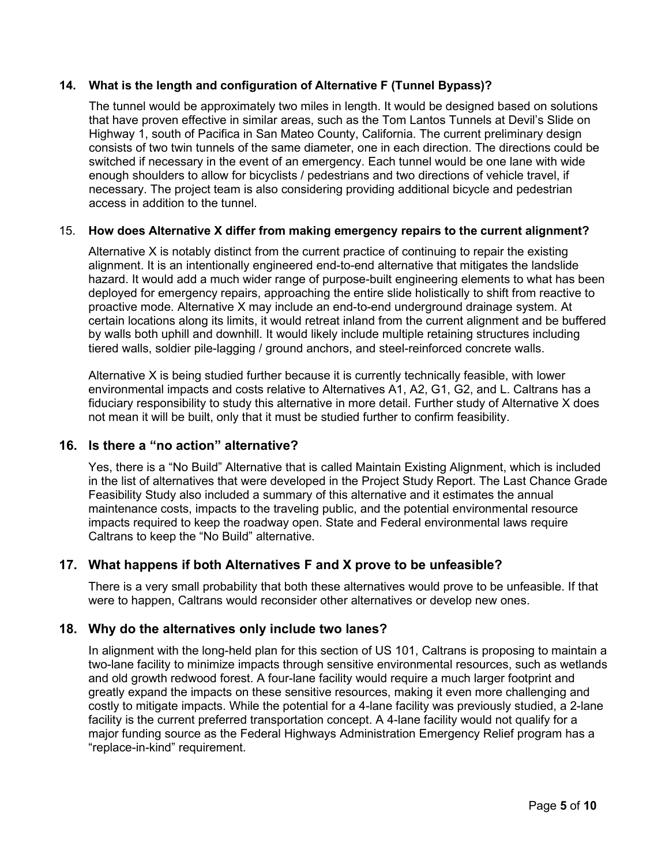#### **14. What is the length and configuration of Alternative F (Tunnel Bypass)?**

The tunnel would be approximately two miles in length. It would be designed based on solutions that have proven effective in similar areas, such as the Tom Lantos Tunnels at Devil's Slide on Highway 1, south of Pacifica in San Mateo County, California. The current preliminary design consists of two twin tunnels of the same diameter, one in each direction. The directions could be switched if necessary in the event of an emergency. Each tunnel would be one lane with wide enough shoulders to allow for bicyclists / pedestrians and two directions of vehicle travel, if necessary. The project team is also considering providing additional bicycle and pedestrian access in addition to the tunnel.

#### 15. **How does Alternative X differ from making emergency repairs to the current alignment?**

Alternative X is notably distinct from the current practice of continuing to repair the existing alignment. It is an intentionally engineered end-to-end alternative that mitigates the landslide hazard. It would add a much wider range of purpose-built engineering elements to what has been deployed for emergency repairs, approaching the entire slide holistically to shift from reactive to proactive mode. Alternative X may include an end-to-end underground drainage system. At certain locations along its limits, it would retreat inland from the current alignment and be buffered by walls both uphill and downhill. It would likely include multiple retaining structures including tiered walls, soldier pile-lagging / ground anchors, and steel-reinforced concrete walls.

Alternative X is being studied further because it is currently technically feasible, with lower environmental impacts and costs relative to Alternatives A1, A2, G1, G2, and L. Caltrans has a fiduciary responsibility to study this alternative in more detail. Further study of Alternative X does not mean it will be built, only that it must be studied further to confirm feasibility.

# **16. Is there a "no action" alternative?**

Yes, there is a "No Build" Alternative that is called Maintain Existing Alignment, which is included in the list of alternatives that were developed in the Project Study Report. The Last Chance Grade Feasibility Study also included a summary of this alternative and it estimates the annual maintenance costs, impacts to the traveling public, and the potential environmental resource impacts required to keep the roadway open. State and Federal environmental laws require Caltrans to keep the "No Build" alternative.

# **17. What happens if both Alternatives F and X prove to be unfeasible?**

There is a very small probability that both these alternatives would prove to be unfeasible. If that were to happen, Caltrans would reconsider other alternatives or develop new ones.

# **18. Why do the alternatives only include two lanes?**

In alignment with the long-held plan for this section of US 101, Caltrans is proposing to maintain a two-lane facility to minimize impacts through sensitive environmental resources, such as wetlands and old growth redwood forest. A four-lane facility would require a much larger footprint and greatly expand the impacts on these sensitive resources, making it even more challenging and costly to mitigate impacts. While the potential for a 4-lane facility was previously studied, a 2-lane facility is the current preferred transportation concept. A 4-lane facility would not qualify for a major funding source as the Federal Highways Administration Emergency Relief program has a "replace-in-kind" requirement.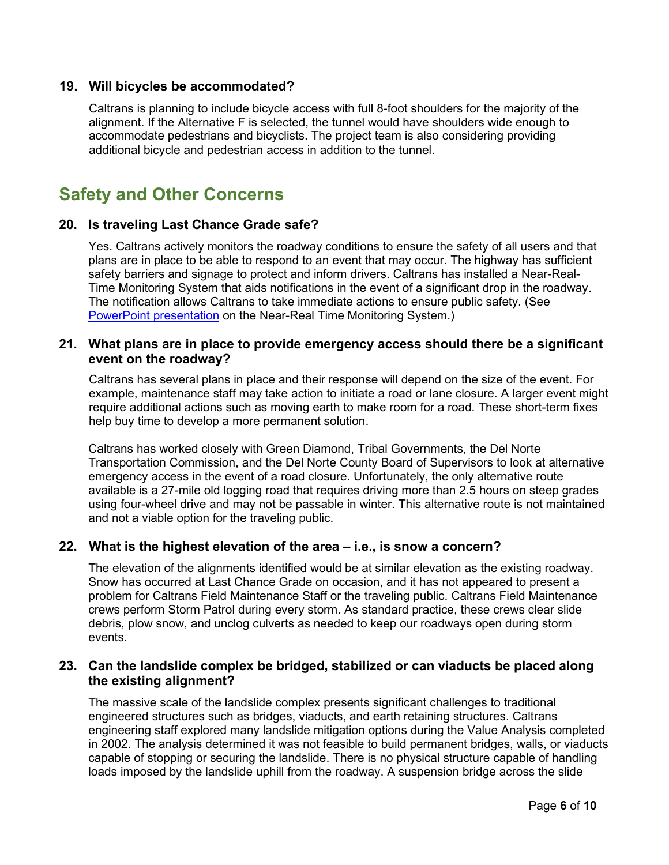#### **19. Will bicycles be accommodated?**

Caltrans is planning to include bicycle access with full 8-foot shoulders for the majority of the alignment. If the Alternative F is selected, the tunnel would have shoulders wide enough to accommodate pedestrians and bicyclists. The project team is also considering providing additional bicycle and pedestrian access in addition to the tunnel.

# **Safety and Other Concerns**

#### **20. Is traveling Last Chance Grade safe?**

Yes. Caltrans actively monitors the roadway conditions to ensure the safety of all users and that plans are in place to be able to respond to an event that may occur. The highway has sufficient safety barriers and signage to protect and inform drivers. Caltrans has installed a Near-Real-Time Monitoring System that aids notifications in the event of a significant drop in the roadway. The notification allows Caltrans to take immediate actions to ensure public safety. (See [PowerPoint presentation](http://www.lastchancegrade.com/files/managed/Document/91/DNLTC_RealTimeMonitoring.pdf) on the Near-Real Time Monitoring System.)

#### **21. What plans are in place to provide emergency access should there be a significant event on the roadway?**

Caltrans has several plans in place and their response will depend on the size of the event. For example, maintenance staff may take action to initiate a road or lane closure. A larger event might require additional actions such as moving earth to make room for a road. These short-term fixes help buy time to develop a more permanent solution.

Caltrans has worked closely with Green Diamond, Tribal Governments, the Del Norte Transportation Commission, and the Del Norte County Board of Supervisors to look at alternative emergency access in the event of a road closure. Unfortunately, the only alternative route available is a 27-mile old logging road that requires driving more than 2.5 hours on steep grades using four-wheel drive and may not be passable in winter. This alternative route is not maintained and not a viable option for the traveling public.

# **22. What is the highest elevation of the area – i.e., is snow a concern?**

The elevation of the alignments identified would be at similar elevation as the existing roadway. Snow has occurred at Last Chance Grade on occasion, and it has not appeared to present a problem for Caltrans Field Maintenance Staff or the traveling public. Caltrans Field Maintenance crews perform Storm Patrol during every storm. As standard practice, these crews clear slide debris, plow snow, and unclog culverts as needed to keep our roadways open during storm events.

#### **23. Can the landslide complex be bridged, stabilized or can viaducts be placed along the existing alignment?**

The massive scale of the landslide complex presents significant challenges to traditional engineered structures such as bridges, viaducts, and earth retaining structures. Caltrans engineering staff explored many landslide mitigation options during the Value Analysis completed in 2002. The analysis determined it was not feasible to build permanent bridges, walls, or viaducts capable of stopping or securing the landslide. There is no physical structure capable of handling loads imposed by the landslide uphill from the roadway. A suspension bridge across the slide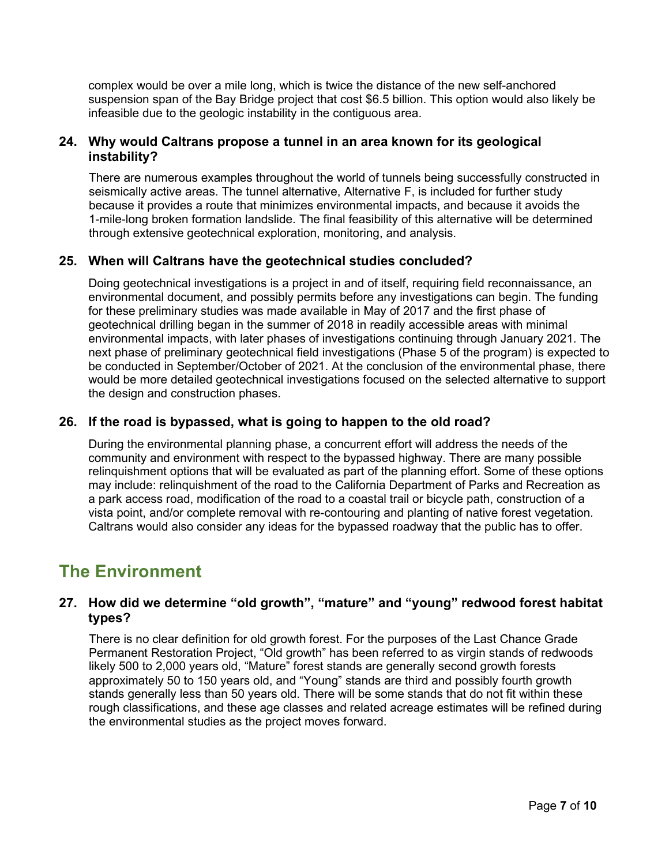complex would be over a mile long, which is twice the distance of the new self-anchored suspension span of the Bay Bridge project that cost \$6.5 billion. This option would also likely be infeasible due to the geologic instability in the contiguous area.

#### **24. Why would Caltrans propose a tunnel in an area known for its geological instability?**

There are numerous examples throughout the world of tunnels being successfully constructed in seismically active areas. The tunnel alternative, Alternative F, is included for further study because it provides a route that minimizes environmental impacts, and because it avoids the 1-mile-long broken formation landslide. The final feasibility of this alternative will be determined through extensive geotechnical exploration, monitoring, and analysis.

# **25. When will Caltrans have the geotechnical studies concluded?**

Doing geotechnical investigations is a project in and of itself, requiring field reconnaissance, an environmental document, and possibly permits before any investigations can begin. The funding for these preliminary studies was made available in May of 2017 and the first phase of geotechnical drilling began in the summer of 2018 in readily accessible areas with minimal environmental impacts, with later phases of investigations continuing through January 2021. The next phase of preliminary geotechnical field investigations (Phase 5 of the program) is expected to be conducted in September/October of 2021. At the conclusion of the environmental phase, there would be more detailed geotechnical investigations focused on the selected alternative to support the design and construction phases.

# **26. If the road is bypassed, what is going to happen to the old road?**

During the environmental planning phase, a concurrent effort will address the needs of the community and environment with respect to the bypassed highway. There are many possible relinquishment options that will be evaluated as part of the planning effort. Some of these options may include: relinquishment of the road to the California Department of Parks and Recreation as a park access road, modification of the road to a coastal trail or bicycle path, construction of a vista point, and/or complete removal with re-contouring and planting of native forest vegetation. Caltrans would also consider any ideas for the bypassed roadway that the public has to offer.

# **The Environment**

# **27. How did we determine "old growth", "mature" and "young" redwood forest habitat types?**

There is no clear definition for old growth forest. For the purposes of the Last Chance Grade Permanent Restoration Project, "Old growth" has been referred to as virgin stands of redwoods likely 500 to 2,000 years old, "Mature" forest stands are generally second growth forests approximately 50 to 150 years old, and "Young" stands are third and possibly fourth growth stands generally less than 50 years old. There will be some stands that do not fit within these rough classifications, and these age classes and related acreage estimates will be refined during the environmental studies as the project moves forward.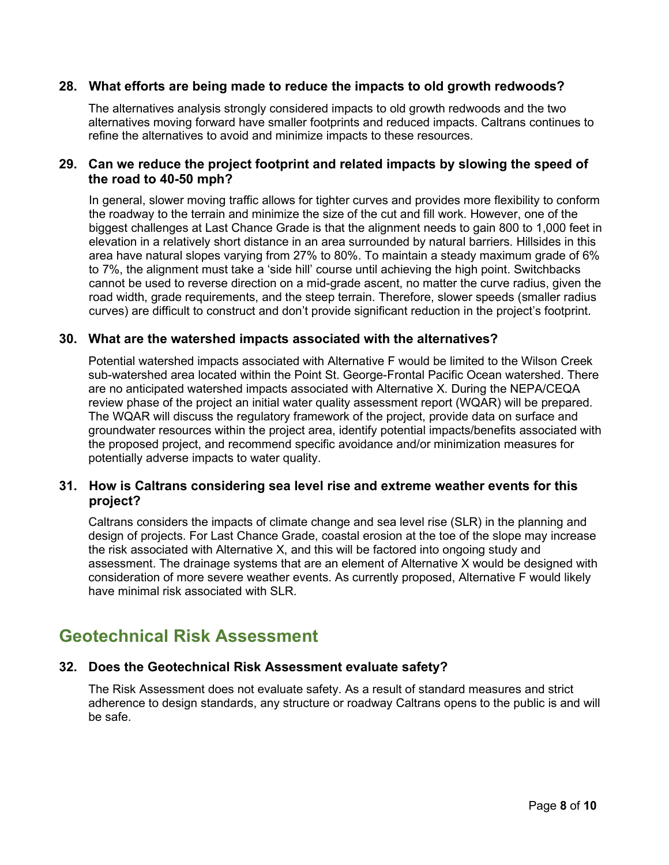#### **28. What efforts are being made to reduce the impacts to old growth redwoods?**

The alternatives analysis strongly considered impacts to old growth redwoods and the two alternatives moving forward have smaller footprints and reduced impacts. Caltrans continues to refine the alternatives to avoid and minimize impacts to these resources.

#### **29. Can we reduce the project footprint and related impacts by slowing the speed of the road to 40-50 mph?**

In general, slower moving traffic allows for tighter curves and provides more flexibility to conform the roadway to the terrain and minimize the size of the cut and fill work. However, one of the biggest challenges at Last Chance Grade is that the alignment needs to gain 800 to 1,000 feet in elevation in a relatively short distance in an area surrounded by natural barriers. Hillsides in this area have natural slopes varying from 27% to 80%. To maintain a steady maximum grade of 6% to 7%, the alignment must take a 'side hill' course until achieving the high point. Switchbacks cannot be used to reverse direction on a mid-grade ascent, no matter the curve radius, given the road width, grade requirements, and the steep terrain. Therefore, slower speeds (smaller radius curves) are difficult to construct and don't provide significant reduction in the project's footprint.

#### **30. What are the watershed impacts associated with the alternatives?**

Potential watershed impacts associated with Alternative F would be limited to the Wilson Creek sub-watershed area located within the Point St. George-Frontal Pacific Ocean watershed. There are no anticipated watershed impacts associated with Alternative X. During the NEPA/CEQA review phase of the project an initial water quality assessment report (WQAR) will be prepared. The WQAR will discuss the regulatory framework of the project, provide data on surface and groundwater resources within the project area, identify potential impacts/benefits associated with the proposed project, and recommend specific avoidance and/or minimization measures for potentially adverse impacts to water quality.

#### **31. How is Caltrans considering sea level rise and extreme weather events for this project?**

Caltrans considers the impacts of climate change and sea level rise (SLR) in the planning and design of projects. For Last Chance Grade, coastal erosion at the toe of the slope may increase the risk associated with Alternative X, and this will be factored into ongoing study and assessment. The drainage systems that are an element of Alternative X would be designed with consideration of more severe weather events. As currently proposed, Alternative F would likely have minimal risk associated with SLR.

# **Geotechnical Risk Assessment**

#### **32. Does the Geotechnical Risk Assessment evaluate safety?**

The Risk Assessment does not evaluate safety. As a result of standard measures and strict adherence to design standards, any structure or roadway Caltrans opens to the public is and will be safe.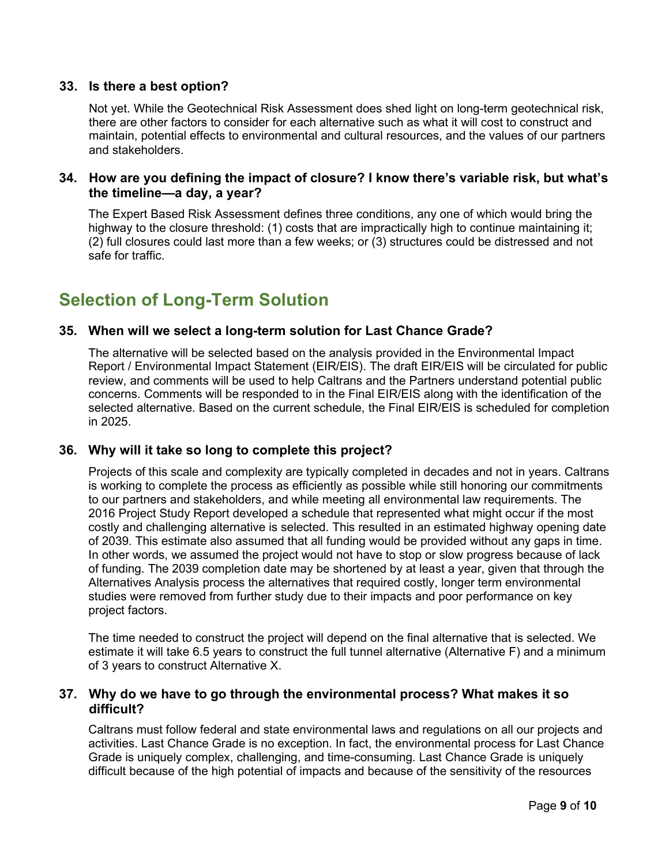#### **33. Is there a best option?**

Not yet. While the Geotechnical Risk Assessment does shed light on long-term geotechnical risk, there are other factors to consider for each alternative such as what it will cost to construct and maintain, potential effects to environmental and cultural resources, and the values of our partners and stakeholders.

#### **34. How are you defining the impact of closure? I know there's variable risk, but what's the timeline—a day, a year?**

The Expert Based Risk Assessment defines three conditions, any one of which would bring the highway to the closure threshold: (1) costs that are impractically high to continue maintaining it; (2) full closures could last more than a few weeks; or (3) structures could be distressed and not safe for traffic.

# **Selection of Long-Term Solution**

#### **35. When will we select a long-term solution for Last Chance Grade?**

The alternative will be selected based on the analysis provided in the Environmental Impact Report / Environmental Impact Statement (EIR/EIS). The draft EIR/EIS will be circulated for public review, and comments will be used to help Caltrans and the Partners understand potential public concerns. Comments will be responded to in the Final EIR/EIS along with the identification of the selected alternative. Based on the current schedule, the Final EIR/EIS is scheduled for completion in 2025.

#### **36. Why will it take so long to complete this project?**

Projects of this scale and complexity are typically completed in decades and not in years. Caltrans is working to complete the process as efficiently as possible while still honoring our commitments to our partners and stakeholders, and while meeting all environmental law requirements. The 2016 Project Study Report developed a schedule that represented what might occur if the most costly and challenging alternative is selected. This resulted in an estimated highway opening date of 2039. This estimate also assumed that all funding would be provided without any gaps in time. In other words, we assumed the project would not have to stop or slow progress because of lack of funding. The 2039 completion date may be shortened by at least a year, given that through the Alternatives Analysis process the alternatives that required costly, longer term environmental studies were removed from further study due to their impacts and poor performance on key project factors.

The time needed to construct the project will depend on the final alternative that is selected. We estimate it will take 6.5 years to construct the full tunnel alternative (Alternative F) and a minimum of 3 years to construct Alternative X.

#### **37. Why do we have to go through the environmental process? What makes it so difficult?**

Caltrans must follow federal and state environmental laws and regulations on all our projects and activities. Last Chance Grade is no exception. In fact, the environmental process for Last Chance Grade is uniquely complex, challenging, and time-consuming. Last Chance Grade is uniquely difficult because of the high potential of impacts and because of the sensitivity of the resources